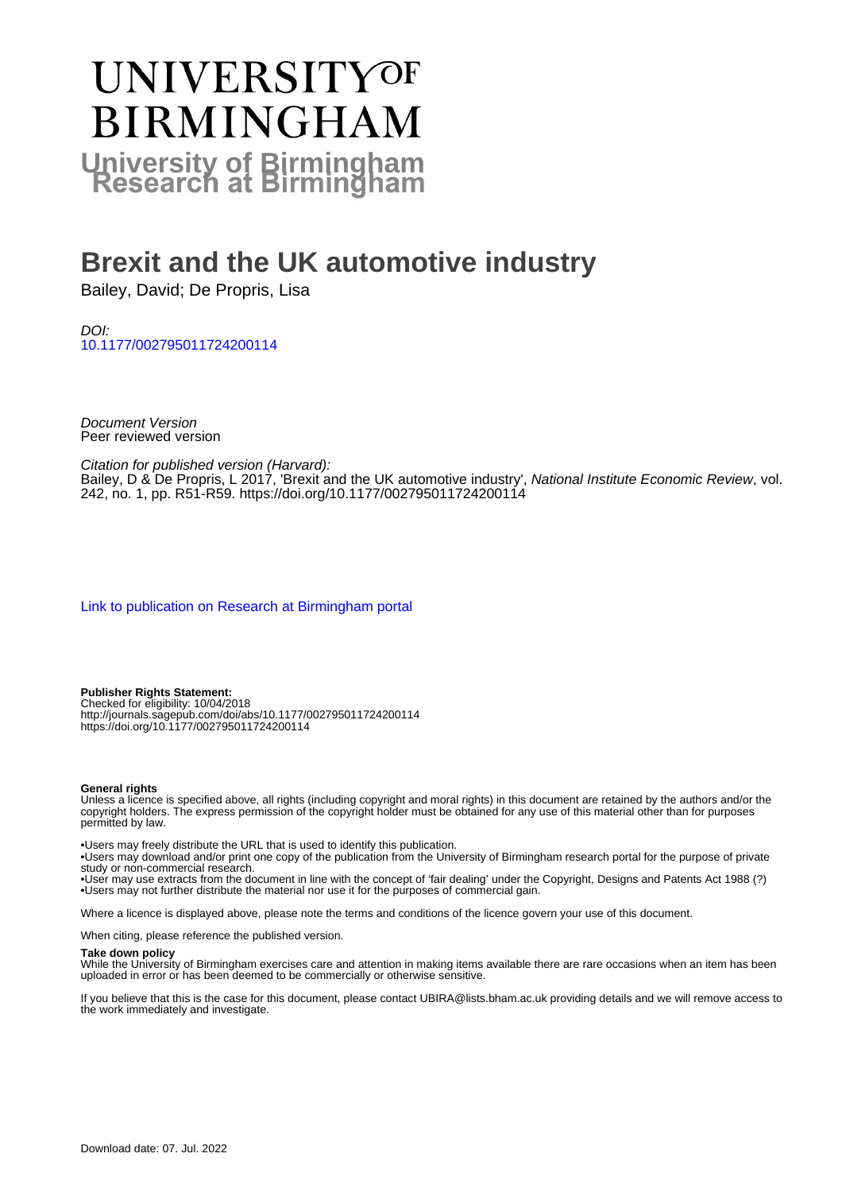# UNIVERSITYOF **BIRMINGHAM University of Birmingham**

## **Brexit and the UK automotive industry**

Bailey, David; De Propris, Lisa

DOI: [10.1177/002795011724200114](https://doi.org/10.1177/002795011724200114)

Document Version Peer reviewed version

Citation for published version (Harvard):

Bailey, D & De Propris, L 2017, 'Brexit and the UK automotive industry', National Institute Economic Review, vol. 242, no. 1, pp. R51-R59.<https://doi.org/10.1177/002795011724200114>

[Link to publication on Research at Birmingham portal](https://birmingham.elsevierpure.com/en/publications/0e5ed296-1861-4df9-a58d-f1ec97cc2aee)

**Publisher Rights Statement:** Checked for eligibility: 10/04/2018 http://journals.sagepub.com/doi/abs/10.1177/002795011724200114 https://doi.org/10.1177/002795011724200114

#### **General rights**

Unless a licence is specified above, all rights (including copyright and moral rights) in this document are retained by the authors and/or the copyright holders. The express permission of the copyright holder must be obtained for any use of this material other than for purposes permitted by law.

• Users may freely distribute the URL that is used to identify this publication.

• Users may download and/or print one copy of the publication from the University of Birmingham research portal for the purpose of private study or non-commercial research.

• User may use extracts from the document in line with the concept of 'fair dealing' under the Copyright, Designs and Patents Act 1988 (?) • Users may not further distribute the material nor use it for the purposes of commercial gain.

Where a licence is displayed above, please note the terms and conditions of the licence govern your use of this document.

When citing, please reference the published version.

#### **Take down policy**

While the University of Birmingham exercises care and attention in making items available there are rare occasions when an item has been uploaded in error or has been deemed to be commercially or otherwise sensitive.

If you believe that this is the case for this document, please contact UBIRA@lists.bham.ac.uk providing details and we will remove access to the work immediately and investigate.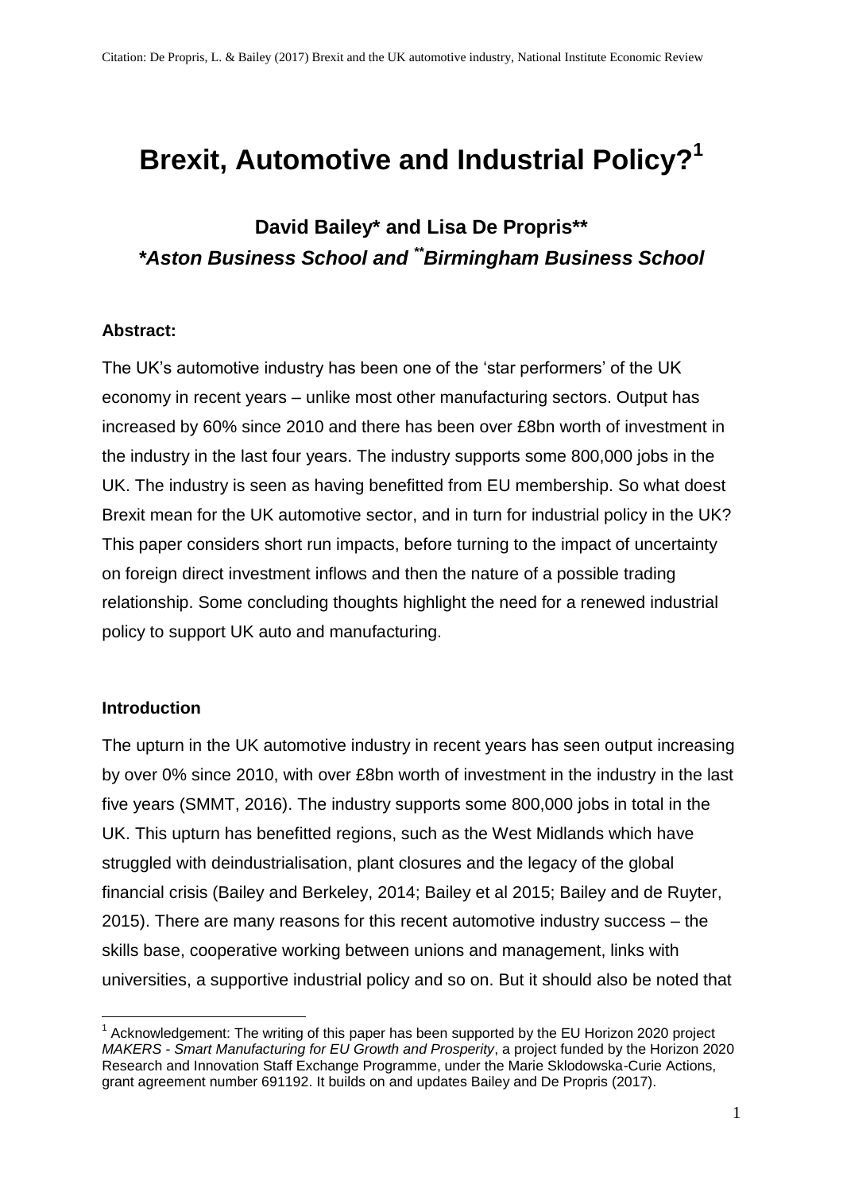# **Brexit, Automotive and Industrial Policy? 1**

## **David Bailey\* and Lisa De Propris\*\*** *\*Aston Business School and \*\*Birmingham Business School*

#### **Abstract:**

The UK's automotive industry has been one of the 'star performers' of the UK economy in recent years – unlike most other manufacturing sectors. Output has increased by 60% since 2010 and there has been over £8bn worth of investment in the industry in the last four years. The industry supports some 800,000 jobs in the UK. The industry is seen as having benefitted from EU membership. So what doest Brexit mean for the UK automotive sector, and in turn for industrial policy in the UK? This paper considers short run impacts, before turning to the impact of uncertainty on foreign direct investment inflows and then the nature of a possible trading relationship. Some concluding thoughts highlight the need for a renewed industrial policy to support UK auto and manufacturing.

#### **Introduction**

1

The upturn in the UK automotive industry in recent years has seen output increasing by over 0% since 2010, with over £8bn worth of investment in the industry in the last five years (SMMT, 2016). The industry supports some 800,000 jobs in total in the UK. This upturn has benefitted regions, such as the West Midlands which have struggled with deindustrialisation, plant closures and the legacy of the global financial crisis (Bailey and Berkeley, 2014; Bailey et al 2015; Bailey and de Ruyter, 2015). There are many reasons for this recent automotive industry success – the skills base, cooperative working between unions and management, links with universities, a supportive industrial policy and so on. But it should also be noted that

 $1$  Acknowledgement: The writing of this paper has been supported by the EU Horizon 2020 project *MAKERS - Smart Manufacturing for EU Growth and Prosperity*, a project funded by the Horizon 2020 Research and Innovation Staff Exchange Programme, under the Marie Sklodowska-Curie Actions, grant agreement number 691192. It builds on and updates Bailey and De Propris (2017).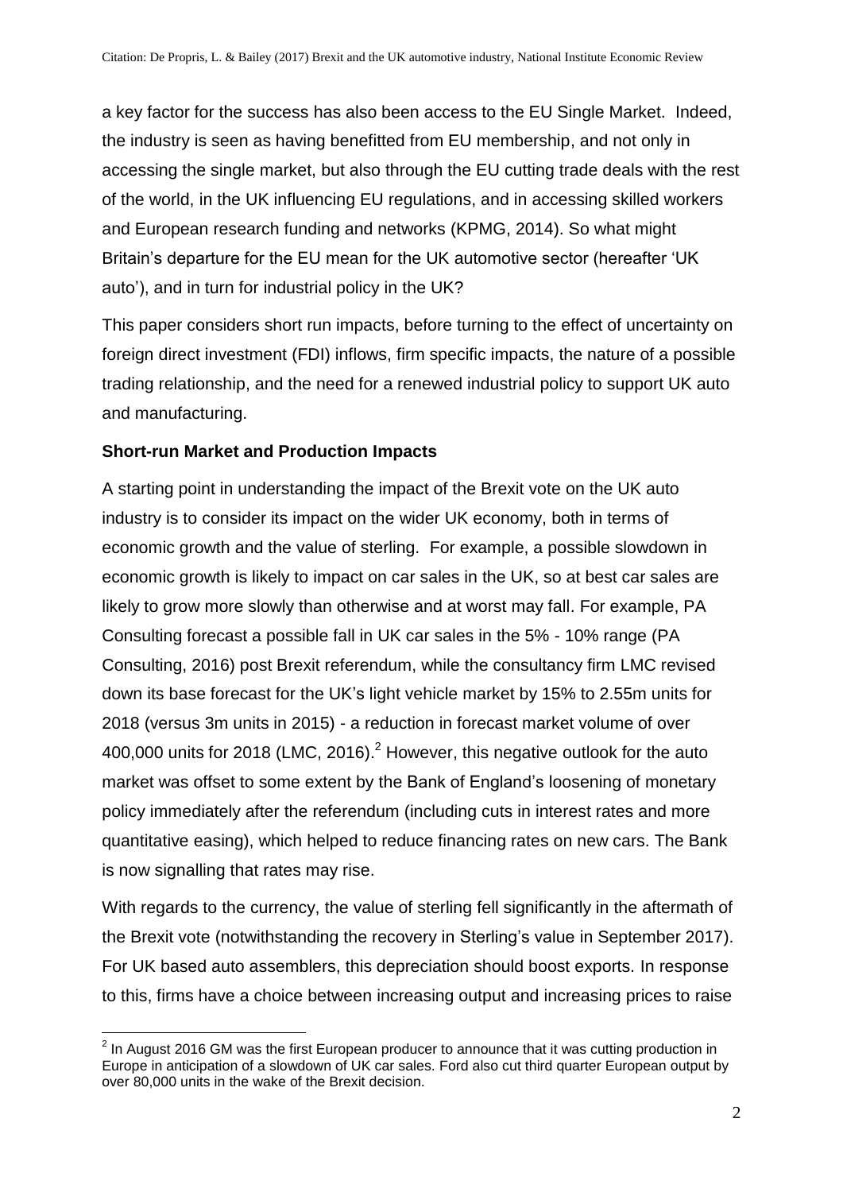a key factor for the success has also been access to the EU Single Market. Indeed, the industry is seen as having benefitted from EU membership, and not only in accessing the single market, but also through the EU cutting trade deals with the rest of the world, in the UK influencing EU regulations, and in accessing skilled workers and European research funding and networks (KPMG, 2014). So what might Britain's departure for the EU mean for the UK automotive sector (hereafter 'UK auto'), and in turn for industrial policy in the UK?

This paper considers short run impacts, before turning to the effect of uncertainty on foreign direct investment (FDI) inflows, firm specific impacts, the nature of a possible trading relationship, and the need for a renewed industrial policy to support UK auto and manufacturing.

## **Short-run Market and Production Impacts**

A starting point in understanding the impact of the Brexit vote on the UK auto industry is to consider its impact on the wider UK economy, both in terms of economic growth and the value of sterling. For example, a possible slowdown in economic growth is likely to impact on car sales in the UK, so at best car sales are likely to grow more slowly than otherwise and at worst may fall. For example, PA Consulting forecast a possible fall in UK car sales in the 5% - 10% range (PA Consulting, 2016) post Brexit referendum, while the consultancy firm LMC revised down its base forecast for the UK's light vehicle market by 15% to 2.55m units for 2018 (versus 3m units in 2015) - a reduction in forecast market volume of over 400,000 units for 2018 (LMC, 2016).  $2^2$  However, this negative outlook for the auto market was offset to some extent by the Bank of England's loosening of monetary policy immediately after the referendum (including cuts in interest rates and more quantitative easing), which helped to reduce financing rates on new cars. The Bank is now signalling that rates may rise.

With regards to the currency, the value of sterling fell significantly in the aftermath of the Brexit vote (notwithstanding the recovery in Sterling's value in September 2017). For UK based auto assemblers, this depreciation should boost exports. In response to this, firms have a choice between increasing output and increasing prices to raise

<sup>&</sup>lt;u>.</u>  $2$  In August 2016 GM was the first European producer to announce that it was cutting production in Europe in anticipation of a slowdown of UK car sales. Ford also cut third quarter European output by over 80,000 units in the wake of the Brexit decision.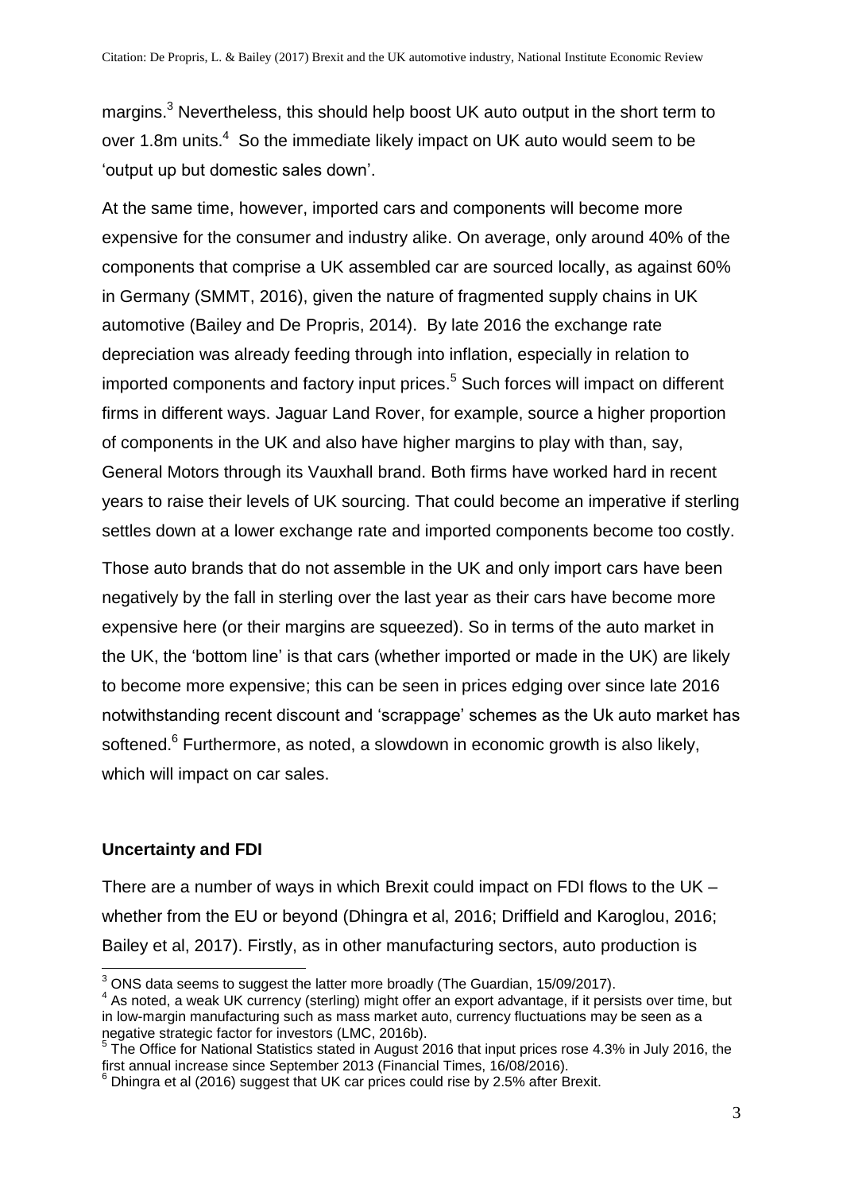margins.<sup>3</sup> Nevertheless, this should help boost UK auto output in the short term to over 1.8m units. $4$  So the immediate likely impact on UK auto would seem to be 'output up but domestic sales down'.

At the same time, however, imported cars and components will become more expensive for the consumer and industry alike. On average, only around 40% of the components that comprise a UK assembled car are sourced locally, as against 60% in Germany (SMMT, 2016), given the nature of fragmented supply chains in UK automotive (Bailey and De Propris, 2014). By late 2016 the exchange rate depreciation was already feeding through into inflation, especially in relation to imported components and factory input prices. <sup>5</sup> Such forces will impact on different firms in different ways. Jaguar Land Rover, for example, source a higher proportion of components in the UK and also have higher margins to play with than, say, General Motors through its Vauxhall brand. Both firms have worked hard in recent years to raise their levels of UK sourcing. That could become an imperative if sterling settles down at a lower exchange rate and imported components become too costly.

Those auto brands that do not assemble in the UK and only import cars have been negatively by the fall in sterling over the last year as their cars have become more expensive here (or their margins are squeezed). So in terms of the auto market in the UK, the 'bottom line' is that cars (whether imported or made in the UK) are likely to become more expensive; this can be seen in prices edging over since late 2016 notwithstanding recent discount and 'scrappage' schemes as the Uk auto market has softened.<sup>6</sup> Furthermore, as noted, a slowdown in economic growth is also likely, which will impact on car sales.

#### **Uncertainty and FDI**

There are a number of ways in which Brexit could impact on FDI flows to the UK – whether from the EU or beyond (Dhingra et al, 2016; Driffield and Karoglou, 2016; Bailey et al, 2017). Firstly, as in other manufacturing sectors, auto production is

<sup>1</sup>  $3$  ONS data seems to suggest the latter more broadly (The Guardian, 15/09/2017).

<sup>4</sup> As noted, a weak UK currency (sterling) might offer an export advantage, if it persists over time, but in low-margin manufacturing such as mass market auto, currency fluctuations may be seen as a negative strategic factor for investors (LMC, 2016b).

<sup>&</sup>lt;sup>5</sup> The Office for National Statistics stated in August 2016 that input prices rose 4.3% in July 2016, the first annual increase since September 2013 (Financial Times, 16/08/2016).

 $6$  Dhingra et al (2016) suggest that UK car prices could rise by 2.5% after Brexit.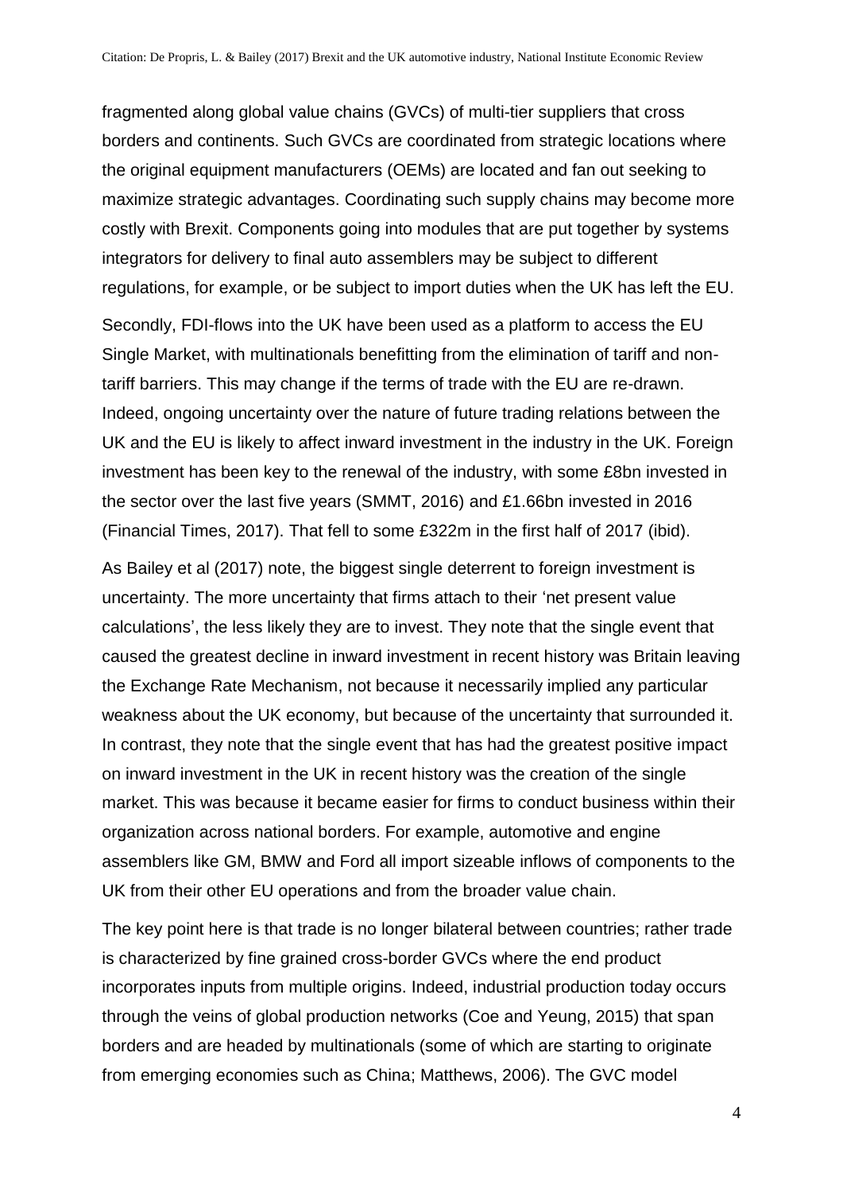fragmented along global value chains (GVCs) of multi-tier suppliers that cross borders and continents. Such GVCs are coordinated from strategic locations where the original equipment manufacturers (OEMs) are located and fan out seeking to maximize strategic advantages. Coordinating such supply chains may become more costly with Brexit. Components going into modules that are put together by systems integrators for delivery to final auto assemblers may be subject to different regulations, for example, or be subject to import duties when the UK has left the EU.

Secondly, FDI-flows into the UK have been used as a platform to access the EU Single Market, with multinationals benefitting from the elimination of tariff and nontariff barriers. This may change if the terms of trade with the EU are re-drawn. Indeed, ongoing uncertainty over the nature of future trading relations between the UK and the EU is likely to affect inward investment in the industry in the UK. Foreign investment has been key to the renewal of the industry, with some £8bn invested in the sector over the last five years (SMMT, 2016) and £1.66bn invested in 2016 (Financial Times, 2017). That fell to some £322m in the first half of 2017 (ibid).

As Bailey et al (2017) note, the biggest single deterrent to foreign investment is uncertainty. The more uncertainty that firms attach to their 'net present value calculations', the less likely they are to invest. They note that the single event that caused the greatest decline in inward investment in recent history was Britain leaving the Exchange Rate Mechanism, not because it necessarily implied any particular weakness about the UK economy, but because of the uncertainty that surrounded it. In contrast, they note that the single event that has had the greatest positive impact on inward investment in the UK in recent history was the creation of the single market. This was because it became easier for firms to conduct business within their organization across national borders. For example, automotive and engine assemblers like GM, BMW and Ford all import sizeable inflows of components to the UK from their other EU operations and from the broader value chain.

The key point here is that trade is no longer bilateral between countries; rather trade is characterized by fine grained cross-border GVCs where the end product incorporates inputs from multiple origins. Indeed, industrial production today occurs through the veins of global production networks (Coe and Yeung, 2015) that span borders and are headed by multinationals (some of which are starting to originate from emerging economies such as China; Matthews, 2006). The GVC model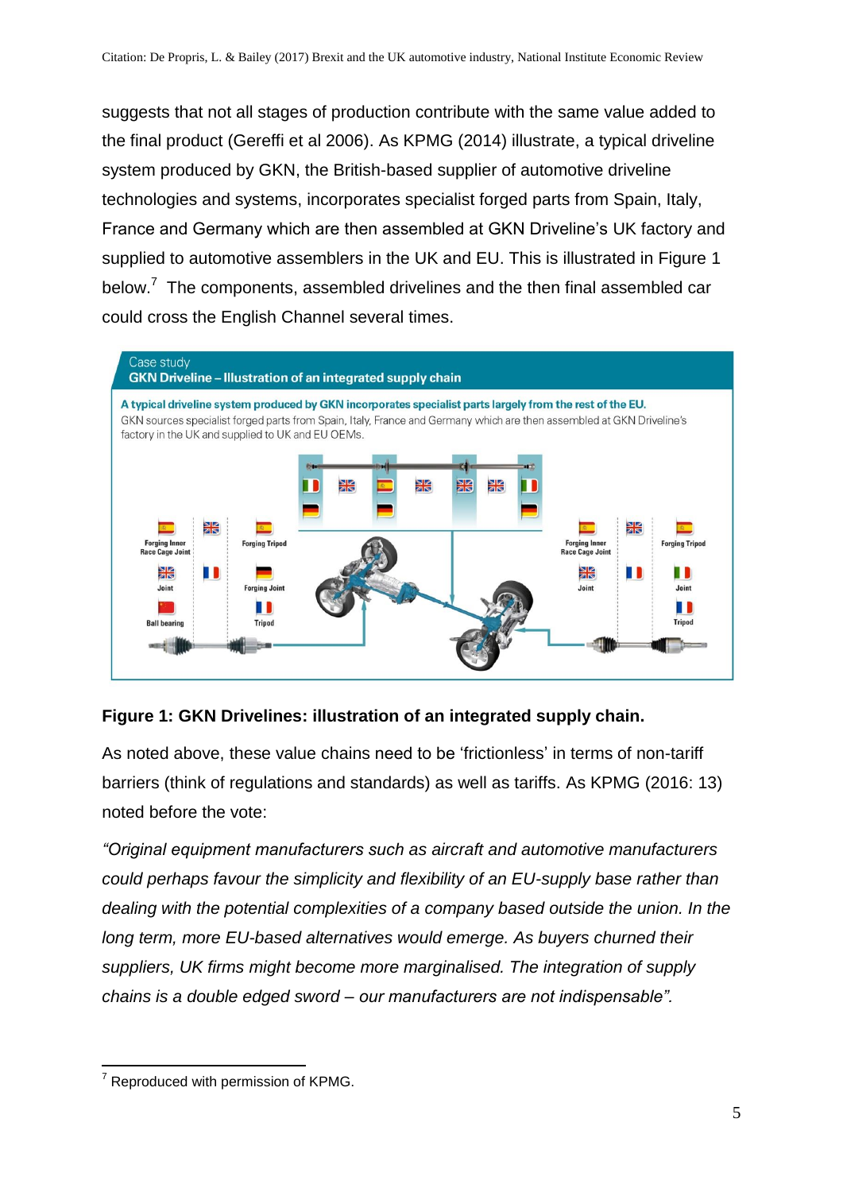suggests that not all stages of production contribute with the same value added to the final product (Gereffi et al 2006). As KPMG (2014) illustrate, a typical driveline system produced by GKN, the British-based supplier of automotive driveline technologies and systems, incorporates specialist forged parts from Spain, Italy, France and Germany which are then assembled at GKN Driveline's UK factory and supplied to automotive assemblers in the UK and EU. This is illustrated in Figure 1 below. $7$  The components, assembled drivelines and the then final assembled car could cross the English Channel several times.



#### **Figure 1: GKN Drivelines: illustration of an integrated supply chain.**

As noted above, these value chains need to be 'frictionless' in terms of non-tariff barriers (think of regulations and standards) as well as tariffs. As KPMG (2016: 13) noted before the vote:

*"Original equipment manufacturers such as aircraft and automotive manufacturers could perhaps favour the simplicity and flexibility of an EU-supply base rather than dealing with the potential complexities of a company based outside the union. In the long term, more EU-based alternatives would emerge. As buyers churned their suppliers, UK firms might become more marginalised. The integration of supply chains is a double edged sword – our manufacturers are not indispensable".*

<sup>1</sup> <sup>7</sup> Reproduced with permission of KPMG.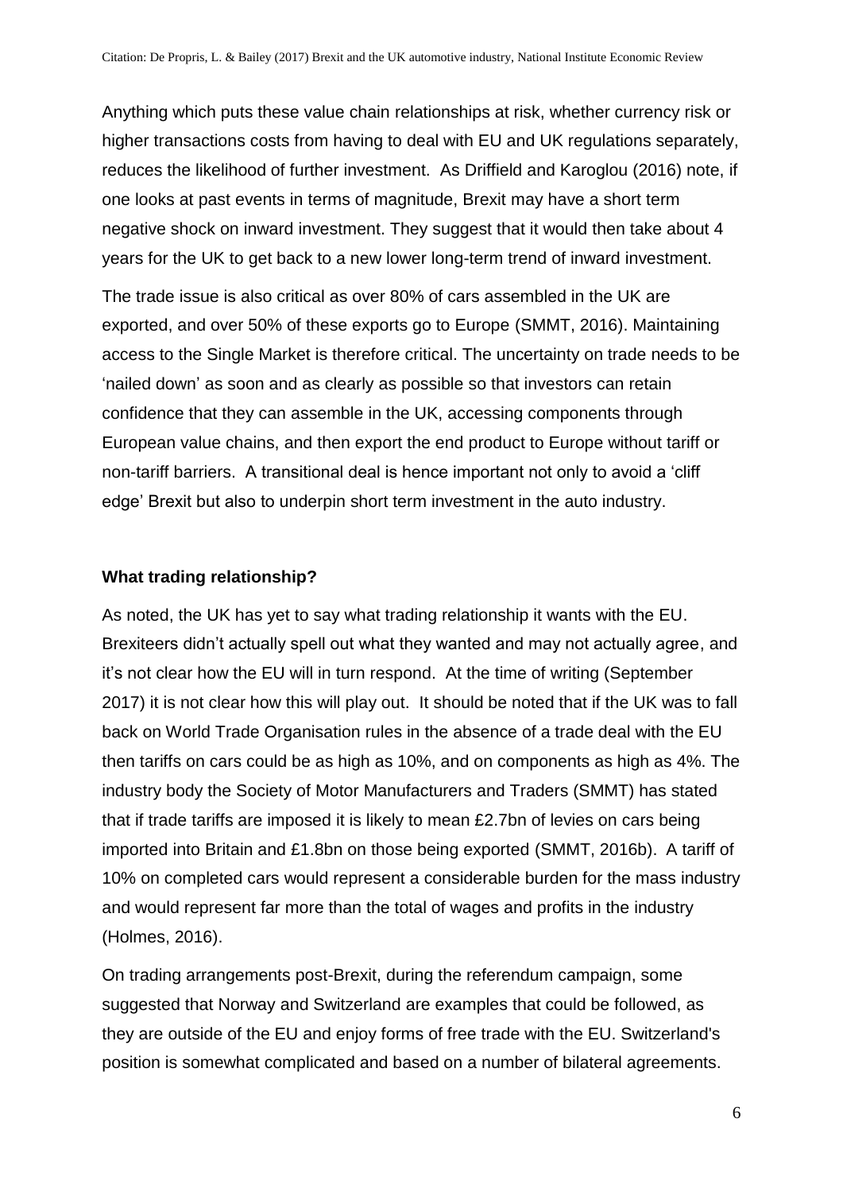Anything which puts these value chain relationships at risk, whether currency risk or higher transactions costs from having to deal with EU and UK regulations separately, reduces the likelihood of further investment. As Driffield and Karoglou (2016) note, if one looks at past events in terms of magnitude, Brexit may have a short term negative shock on inward investment. They suggest that it would then take about 4 years for the UK to get back to a new lower long-term trend of inward investment.

The trade issue is also critical as over 80% of cars assembled in the UK are exported, and over 50% of these exports go to Europe (SMMT, 2016). Maintaining access to the Single Market is therefore critical. The uncertainty on trade needs to be 'nailed down' as soon and as clearly as possible so that investors can retain confidence that they can assemble in the UK, accessing components through European value chains, and then export the end product to Europe without tariff or non-tariff barriers. A transitional deal is hence important not only to avoid a 'cliff edge' Brexit but also to underpin short term investment in the auto industry.

#### **What trading relationship?**

As noted, the UK has yet to say what trading relationship it wants with the EU. Brexiteers didn't actually spell out what they wanted and may not actually agree, and it's not clear how the EU will in turn respond. At the time of writing (September 2017) it is not clear how this will play out. It should be noted that if the UK was to fall back on World Trade Organisation rules in the absence of a trade deal with the EU then tariffs on cars could be as high as 10%, and on components as high as 4%. The industry body the Society of Motor Manufacturers and Traders (SMMT) has stated that if trade tariffs are imposed it is likely to mean £2.7bn of levies on cars being imported into Britain and £1.8bn on those being exported (SMMT, 2016b). A tariff of 10% on completed cars would represent a considerable burden for the mass industry and would represent far more than the total of wages and profits in the industry (Holmes, 2016).

On trading arrangements post-Brexit, during the referendum campaign, some suggested that Norway and Switzerland are examples that could be followed, as they are outside of the EU and enjoy forms of free trade with the EU. Switzerland's position is somewhat complicated and based on a number of bilateral agreements.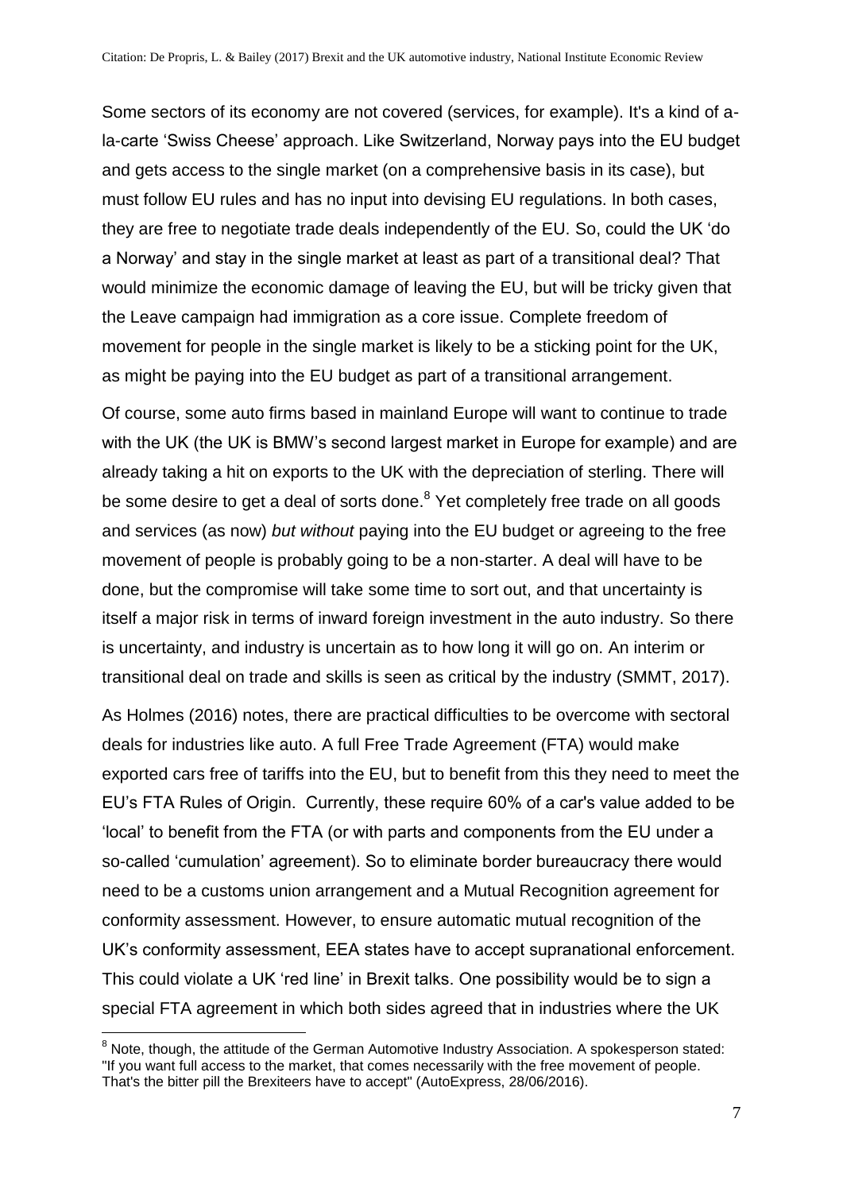Some sectors of its economy are not covered (services, for example). It's a kind of ala-carte 'Swiss Cheese' approach. Like Switzerland, Norway pays into the EU budget and gets access to the single market (on a comprehensive basis in its case), but must follow EU rules and has no input into devising EU regulations. In both cases, they are free to negotiate trade deals independently of the EU. So, could the UK 'do a Norway' and stay in the single market at least as part of a transitional deal? That would minimize the economic damage of leaving the EU, but will be tricky given that the Leave campaign had immigration as a core issue. Complete freedom of movement for people in the single market is likely to be a sticking point for the UK, as might be paying into the EU budget as part of a transitional arrangement.

Of course, some auto firms based in mainland Europe will want to continue to trade with the UK (the UK is BMW's second largest market in Europe for example) and are already taking a hit on exports to the UK with the depreciation of sterling. There will be some desire to get a deal of sorts done.<sup>8</sup> Yet completely free trade on all goods and services (as now) *but without* paying into the EU budget or agreeing to the free movement of people is probably going to be a non-starter. A deal will have to be done, but the compromise will take some time to sort out, and that uncertainty is itself a major risk in terms of inward foreign investment in the auto industry. So there is uncertainty, and industry is uncertain as to how long it will go on. An interim or transitional deal on trade and skills is seen as critical by the industry (SMMT, 2017).

As Holmes (2016) notes, there are practical difficulties to be overcome with sectoral deals for industries like auto. A full Free Trade Agreement (FTA) would make exported cars free of tariffs into the EU, but to benefit from this they need to meet the EU's FTA Rules of Origin. Currently, these require 60% of a car's value added to be 'local' to benefit from the FTA (or with parts and components from the EU under a so-called 'cumulation' agreement). So to eliminate border bureaucracy there would need to be a customs union arrangement and a Mutual Recognition agreement for conformity assessment. However, to ensure automatic mutual recognition of the UK's conformity assessment, EEA states have to accept supranational enforcement. This could violate a UK 'red line' in Brexit talks. One possibility would be to sign a special FTA agreement in which both sides agreed that in industries where the UK

<u>.</u>

<sup>&</sup>lt;sup>8</sup> Note, though, the attitude of the German Automotive Industry Association. A spokesperson stated: "If you want full access to the market, that comes necessarily with the free movement of people. That's the bitter pill the Brexiteers have to accept" (AutoExpress, 28/06/2016).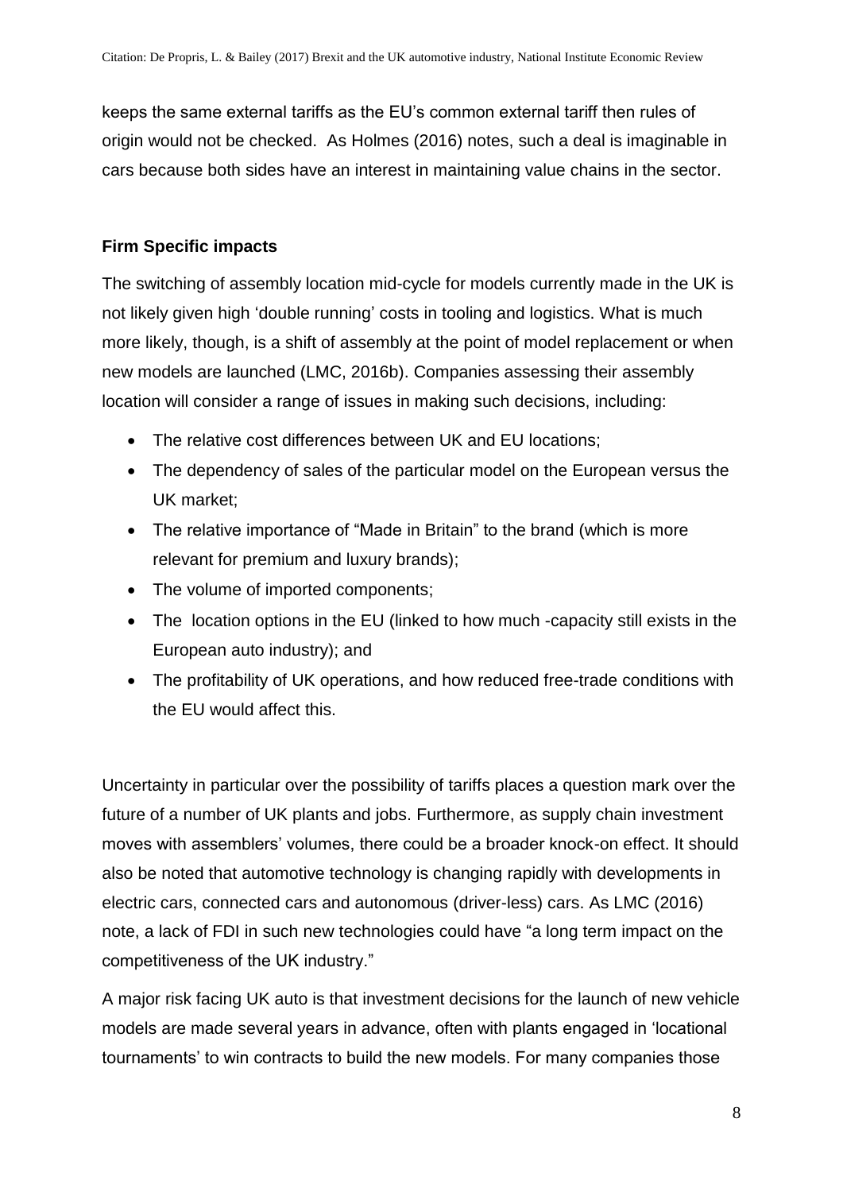keeps the same external tariffs as the EU's common external tariff then rules of origin would not be checked. As Holmes (2016) notes, such a deal is imaginable in cars because both sides have an interest in maintaining value chains in the sector.

## **Firm Specific impacts**

The switching of assembly location mid-cycle for models currently made in the UK is not likely given high 'double running' costs in tooling and logistics. What is much more likely, though, is a shift of assembly at the point of model replacement or when new models are launched (LMC, 2016b). Companies assessing their assembly location will consider a range of issues in making such decisions, including:

- The relative cost differences between UK and EU locations;
- The dependency of sales of the particular model on the European versus the UK market;
- The relative importance of "Made in Britain" to the brand (which is more relevant for premium and luxury brands);
- The volume of imported components;
- The location options in the EU (linked to how much -capacity still exists in the European auto industry); and
- The profitability of UK operations, and how reduced free-trade conditions with the EU would affect this.

Uncertainty in particular over the possibility of tariffs places a question mark over the future of a number of UK plants and jobs. Furthermore, as supply chain investment moves with assemblers' volumes, there could be a broader knock-on effect. It should also be noted that automotive technology is changing rapidly with developments in electric cars, connected cars and autonomous (driver-less) cars. As LMC (2016) note, a lack of FDI in such new technologies could have "a long term impact on the competitiveness of the UK industry."

A major risk facing UK auto is that investment decisions for the launch of new vehicle models are made several years in advance, often with plants engaged in 'locational tournaments' to win contracts to build the new models. For many companies those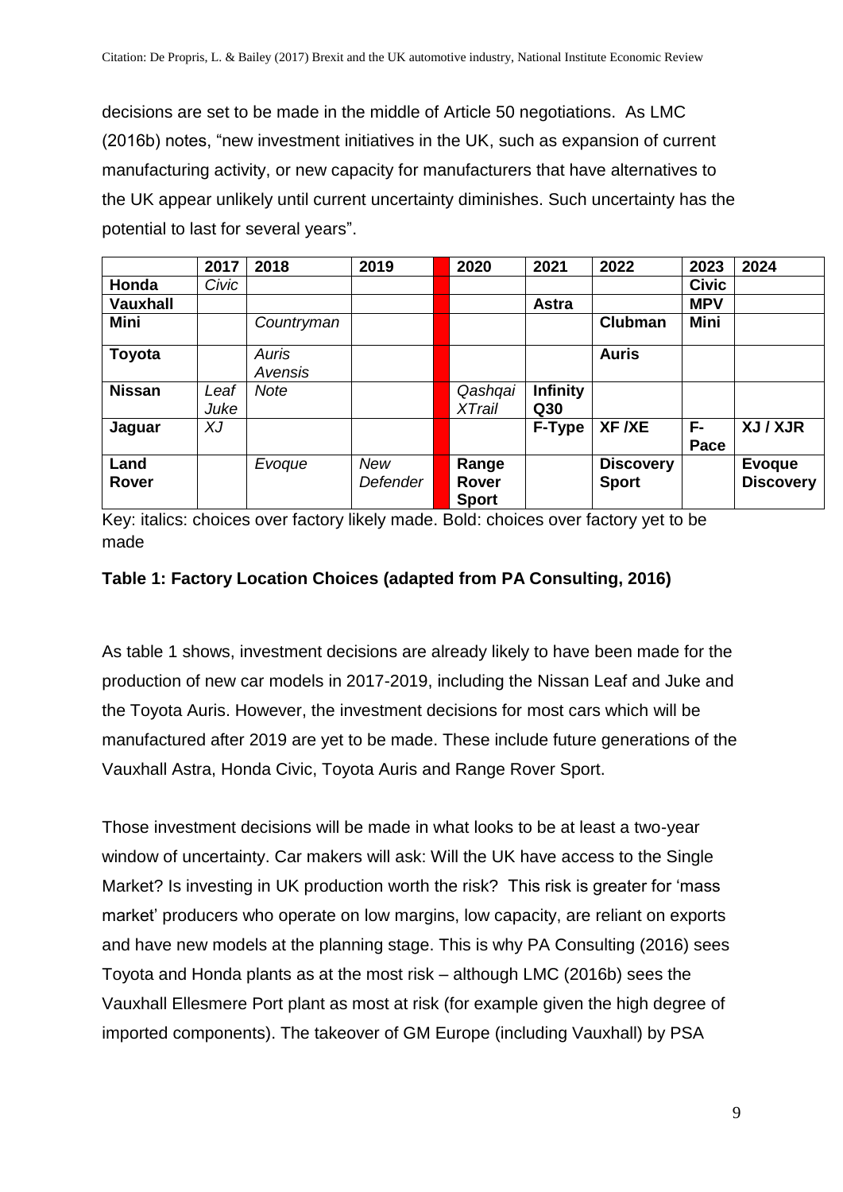decisions are set to be made in the middle of Article 50 negotiations. As LMC (2016b) notes, "new investment initiatives in the UK, such as expansion of current manufacturing activity, or new capacity for manufacturers that have alternatives to the UK appear unlikely until current uncertainty diminishes. Such uncertainty has the potential to last for several years".

|                 | 2017         | 2018             | 2019                   | 2020                           | 2021                   | 2022                             | 2023         | 2024                              |
|-----------------|--------------|------------------|------------------------|--------------------------------|------------------------|----------------------------------|--------------|-----------------------------------|
| Honda           | Civic        |                  |                        |                                |                        |                                  | <b>Civic</b> |                                   |
| <b>Vauxhall</b> |              |                  |                        |                                | Astra                  |                                  | <b>MPV</b>   |                                   |
| Mini            |              | Countryman       |                        |                                |                        | <b>Clubman</b>                   | Mini         |                                   |
| Toyota          |              | Auris<br>Avensis |                        |                                |                        | <b>Auris</b>                     |              |                                   |
| <b>Nissan</b>   | Leaf<br>Juke | Note             |                        | Qashqai<br><b>XTrail</b>       | <b>Infinity</b><br>Q30 |                                  |              |                                   |
| Jaguar          | XJ           |                  |                        |                                | F-Type                 | XF /XE                           | F-<br>Pace   | XJ / XJR                          |
| Land<br>Rover   |              | Evoque           | <b>New</b><br>Defender | Range<br>Rover<br><b>Sport</b> |                        | <b>Discovery</b><br><b>Sport</b> |              | <b>Evoque</b><br><b>Discovery</b> |

Key: italics: choices over factory likely made. Bold: choices over factory yet to be made

#### **Table 1: Factory Location Choices (adapted from PA Consulting, 2016)**

As table 1 shows, investment decisions are already likely to have been made for the production of new car models in 2017-2019, including the Nissan Leaf and Juke and the Toyota Auris. However, the investment decisions for most cars which will be manufactured after 2019 are yet to be made. These include future generations of the Vauxhall Astra, Honda Civic, Toyota Auris and Range Rover Sport.

Those investment decisions will be made in what looks to be at least a two-year window of uncertainty. Car makers will ask: Will the UK have access to the Single Market? Is investing in UK production worth the risk? This risk is greater for 'mass market' producers who operate on low margins, low capacity, are reliant on exports and have new models at the planning stage. This is why PA Consulting (2016) sees Toyota and Honda plants as at the most risk – although LMC (2016b) sees the Vauxhall Ellesmere Port plant as most at risk (for example given the high degree of imported components). The takeover of GM Europe (including Vauxhall) by PSA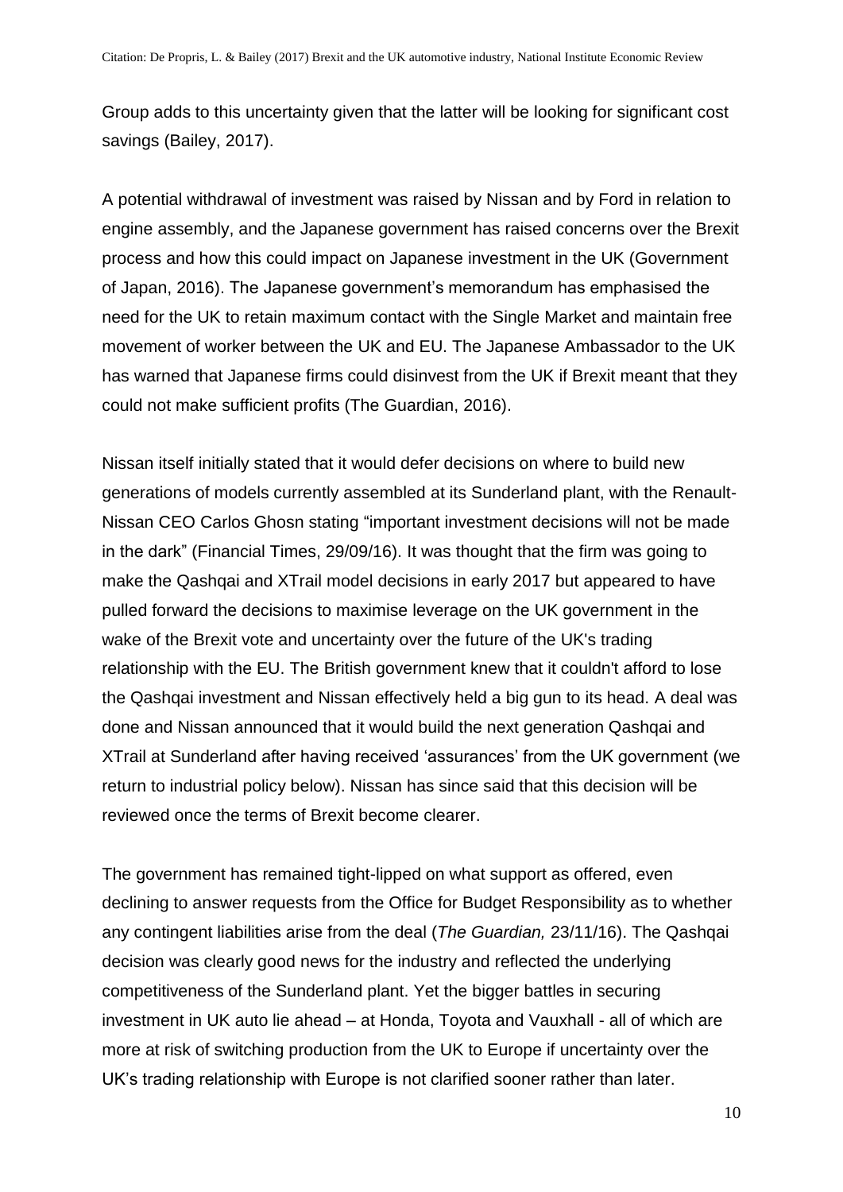Group adds to this uncertainty given that the latter will be looking for significant cost savings (Bailey, 2017).

A potential withdrawal of investment was raised by Nissan and by Ford in relation to engine assembly, and the Japanese government has raised concerns over the Brexit process and how this could impact on Japanese investment in the UK (Government of Japan, 2016). The Japanese government's memorandum has emphasised the need for the UK to retain maximum contact with the Single Market and maintain free movement of worker between the UK and EU. The Japanese Ambassador to the UK has warned that Japanese firms could disinvest from the UK if Brexit meant that they could not make sufficient profits (The Guardian, 2016).

Nissan itself initially stated that it would defer decisions on where to build new generations of models currently assembled at its Sunderland plant, with the Renault-Nissan CEO Carlos Ghosn stating "important investment decisions will not be made in the dark" (Financial Times, 29/09/16). It was thought that the firm was going to make the Qashqai and XTrail model decisions in early 2017 but appeared to have pulled forward the decisions to maximise leverage on the UK government in the wake of the Brexit vote and uncertainty over the future of the UK's trading relationship with the EU. The British government knew that it couldn't afford to lose the Qashqai investment and Nissan effectively held a big gun to its head. A deal was done and Nissan announced that it would build the next generation Qashqai and XTrail at Sunderland after having received 'assurances' from the UK government (we return to industrial policy below). Nissan has since said that this decision will be reviewed once the terms of Brexit become clearer.

The government has remained tight-lipped on what support as offered, even declining to answer requests from the Office for Budget Responsibility as to whether any contingent liabilities arise from the deal (*The Guardian,* 23/11/16). The Qashqai decision was clearly good news for the industry and reflected the underlying competitiveness of the Sunderland plant. Yet the bigger battles in securing investment in UK auto lie ahead – at Honda, Toyota and Vauxhall - all of which are more at risk of switching production from the UK to Europe if uncertainty over the UK's trading relationship with Europe is not clarified sooner rather than later.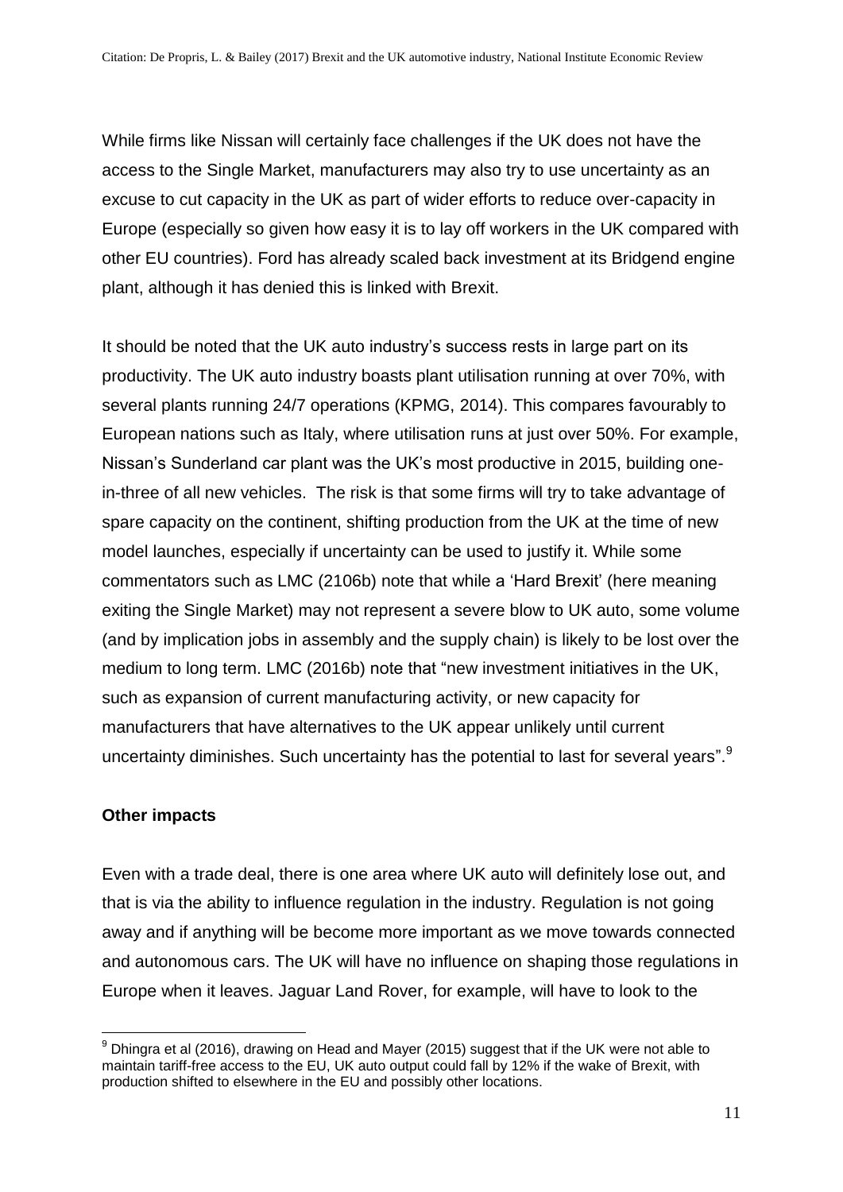While firms like Nissan will certainly face challenges if the UK does not have the access to the Single Market, manufacturers may also try to use uncertainty as an excuse to cut capacity in the UK as part of wider efforts to reduce over-capacity in Europe (especially so given how easy it is to lay off workers in the UK compared with other EU countries). Ford has already scaled back investment at its Bridgend engine plant, although it has denied this is linked with Brexit.

It should be noted that the UK auto industry's success rests in large part on its productivity. The UK auto industry boasts plant utilisation running at over 70%, with several plants running 24/7 operations (KPMG, 2014). This compares favourably to European nations such as Italy, where utilisation runs at just over 50%. For example, Nissan's Sunderland car plant was the UK's most productive in 2015, building onein-three of all new vehicles. The risk is that some firms will try to take advantage of spare capacity on the continent, shifting production from the UK at the time of new model launches, especially if uncertainty can be used to justify it. While some commentators such as LMC (2106b) note that while a 'Hard Brexit' (here meaning exiting the Single Market) may not represent a severe blow to UK auto, some volume (and by implication jobs in assembly and the supply chain) is likely to be lost over the medium to long term. LMC (2016b) note that "new investment initiatives in the UK, such as expansion of current manufacturing activity, or new capacity for manufacturers that have alternatives to the UK appear unlikely until current uncertainty diminishes. Such uncertainty has the potential to last for several years".<sup>9</sup>

#### **Other impacts**

Even with a trade deal, there is one area where UK auto will definitely lose out, and that is via the ability to influence regulation in the industry. Regulation is not going away and if anything will be become more important as we move towards connected and autonomous cars. The UK will have no influence on shaping those regulations in Europe when it leaves. Jaguar Land Rover, for example, will have to look to the

<sup>&</sup>lt;u>.</u>  $9$  Dhingra et al (2016), drawing on Head and Mayer (2015) suggest that if the UK were not able to maintain tariff-free access to the EU, UK auto output could fall by 12% if the wake of Brexit, with production shifted to elsewhere in the EU and possibly other locations.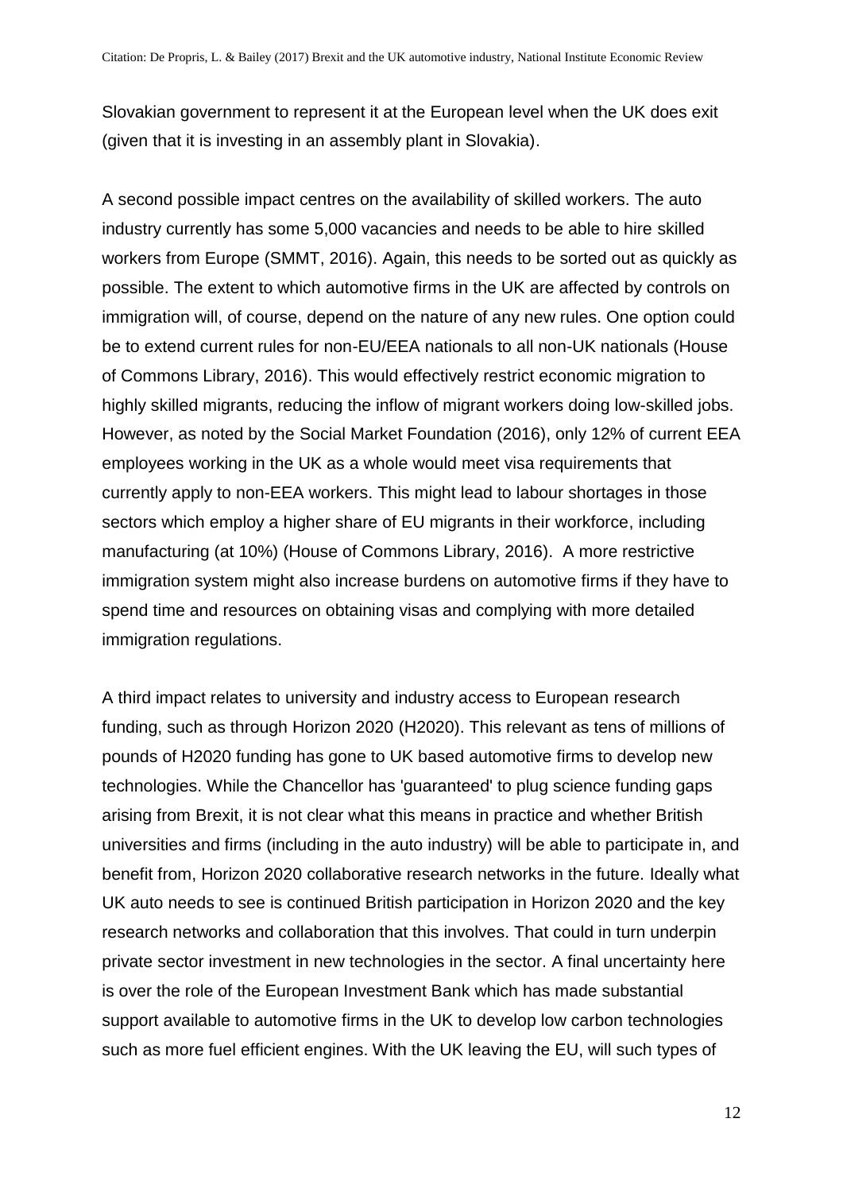Slovakian government to represent it at the European level when the UK does exit (given that it is investing in an assembly plant in Slovakia).

A second possible impact centres on the availability of skilled workers. The auto industry currently has some 5,000 vacancies and needs to be able to hire skilled workers from Europe (SMMT, 2016). Again, this needs to be sorted out as quickly as possible. The extent to which automotive firms in the UK are affected by controls on immigration will, of course, depend on the nature of any new rules. One option could be to extend current rules for non-EU/EEA nationals to all non-UK nationals (House of Commons Library, 2016). This would effectively restrict economic migration to highly skilled migrants, reducing the inflow of migrant workers doing low-skilled jobs. However, as noted by the Social Market Foundation (2016), only 12% of current EEA employees working in the UK as a whole would meet visa requirements that currently apply to non-EEA workers. This might lead to labour shortages in those sectors which employ a higher share of EU migrants in their workforce, including manufacturing (at 10%) (House of Commons Library, 2016). A more restrictive immigration system might also increase burdens on automotive firms if they have to spend time and resources on obtaining visas and complying with more detailed immigration regulations.

A third impact relates to university and industry access to European research funding, such as through Horizon 2020 (H2020). This relevant as tens of millions of pounds of H2020 funding has gone to UK based automotive firms to develop new technologies. While the Chancellor has 'guaranteed' to plug science funding gaps arising from Brexit, it is not clear what this means in practice and whether British universities and firms (including in the auto industry) will be able to participate in, and benefit from, Horizon 2020 collaborative research networks in the future. Ideally what UK auto needs to see is continued British participation in Horizon 2020 and the key research networks and collaboration that this involves. That could in turn underpin private sector investment in new technologies in the sector. A final uncertainty here is over the role of the European Investment Bank which has made substantial support available to automotive firms in the UK to develop low carbon technologies such as more fuel efficient engines. With the UK leaving the EU, will such types of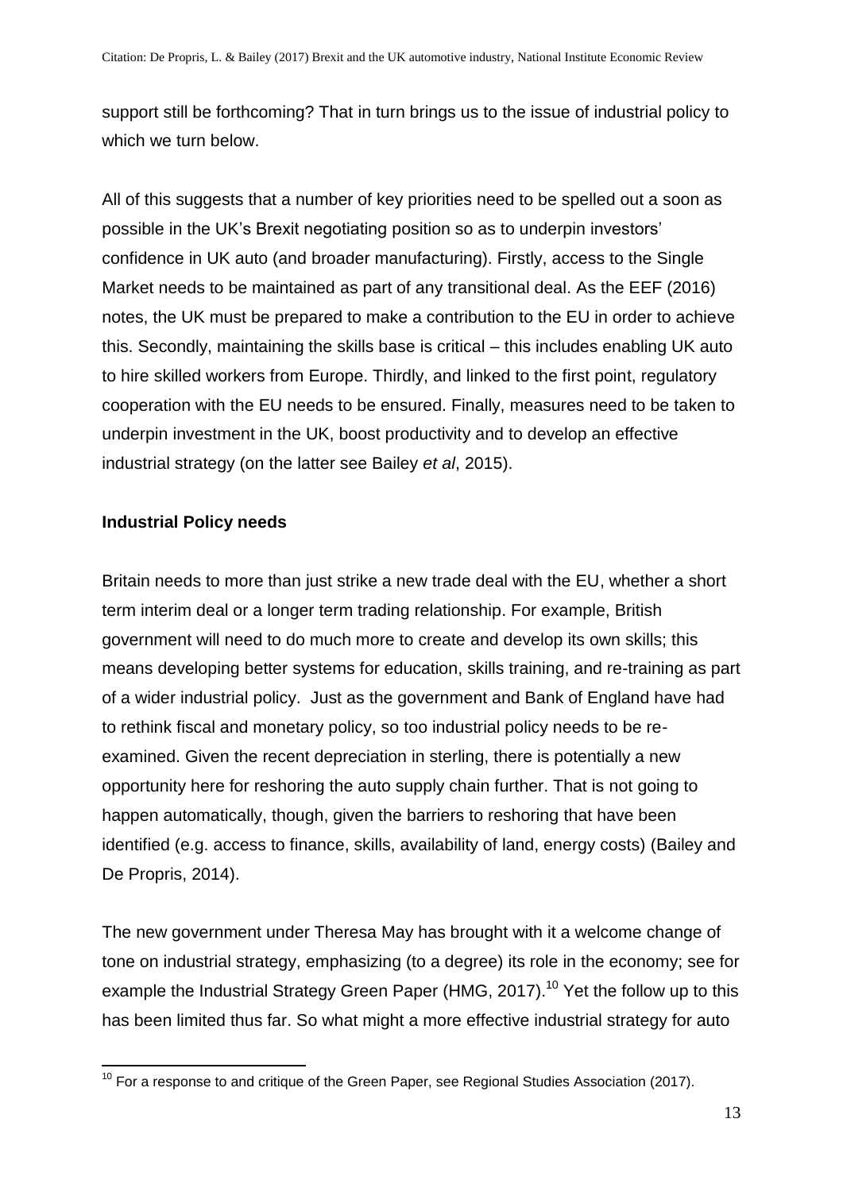support still be forthcoming? That in turn brings us to the issue of industrial policy to which we turn below.

All of this suggests that a number of key priorities need to be spelled out a soon as possible in the UK's Brexit negotiating position so as to underpin investors' confidence in UK auto (and broader manufacturing). Firstly, access to the Single Market needs to be maintained as part of any transitional deal. As the EEF (2016) notes, the UK must be prepared to make a contribution to the EU in order to achieve this. Secondly, maintaining the skills base is critical – this includes enabling UK auto to hire skilled workers from Europe. Thirdly, and linked to the first point, regulatory cooperation with the EU needs to be ensured. Finally, measures need to be taken to underpin investment in the UK, boost productivity and to develop an effective industrial strategy (on the latter see Bailey *et al*, 2015).

#### **Industrial Policy needs**

Britain needs to more than just strike a new trade deal with the EU, whether a short term interim deal or a longer term trading relationship. For example, British government will need to do much more to create and develop its own skills; this means developing better systems for education, skills training, and re-training as part of a wider industrial policy. Just as the government and Bank of England have had to rethink fiscal and monetary policy, so too industrial policy needs to be reexamined. Given the recent depreciation in sterling, there is potentially a new opportunity here for reshoring the auto supply chain further. That is not going to happen automatically, though, given the barriers to reshoring that have been identified (e.g. access to finance, skills, availability of land, energy costs) (Bailey and De Propris, 2014).

The new government under Theresa May has brought with it a welcome change of tone on industrial strategy, emphasizing (to a degree) its role in the economy; see for example the Industrial Strategy Green Paper (HMG, 2017).<sup>10</sup> Yet the follow up to this has been limited thus far. So what might a more effective industrial strategy for auto

<sup>1</sup>  $10$  For a response to and critique of the Green Paper, see Regional Studies Association (2017).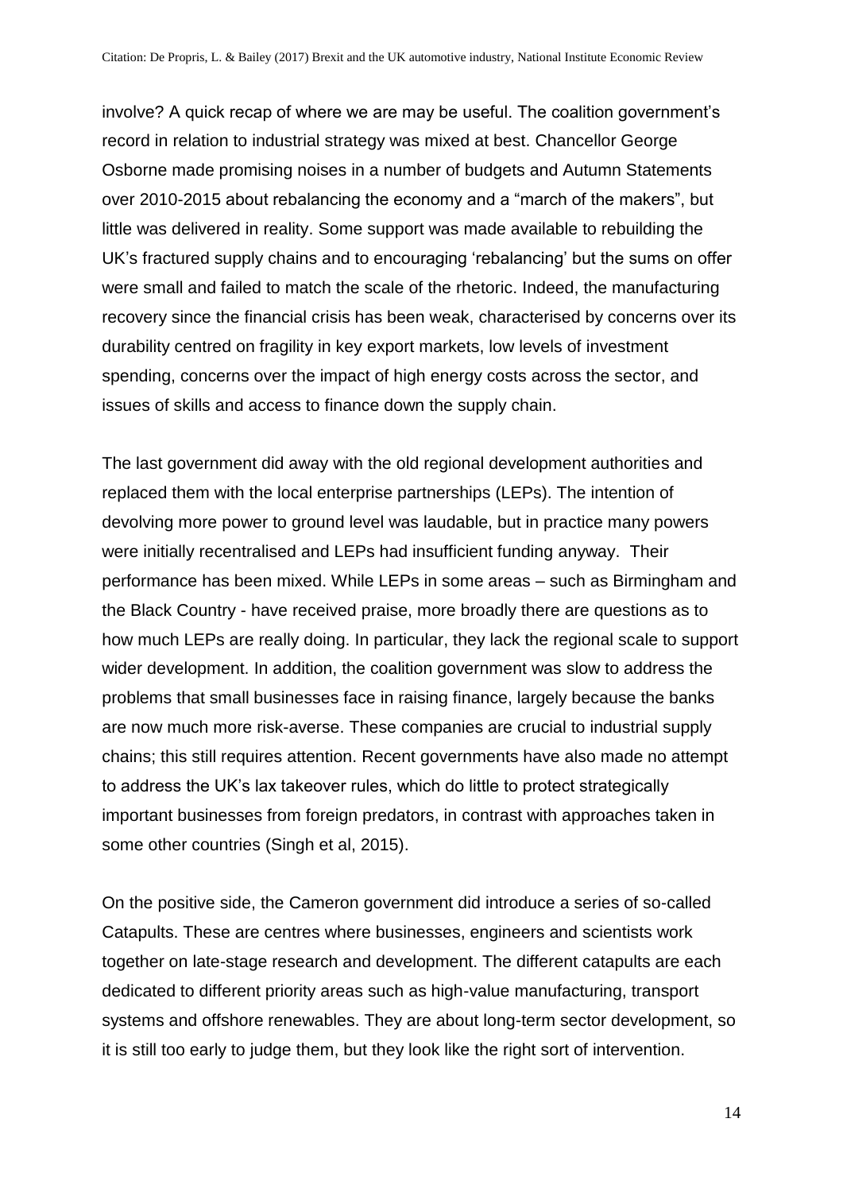involve? A quick recap of where we are may be useful. The coalition government's record in relation to industrial strategy was mixed at best. Chancellor George Osborne made promising noises in a number of budgets and Autumn Statements over 2010-2015 about rebalancing the economy and a "march of the makers", but little was delivered in reality. Some support was made available to rebuilding the UK's fractured supply chains and to encouraging 'rebalancing' but the sums on offer were small and failed to match the scale of the rhetoric. Indeed, the manufacturing recovery since the financial crisis has been weak, characterised by concerns over its durability centred on fragility in key export markets, low levels of investment spending, concerns over the impact of high energy costs across the sector, and issues of skills and access to finance down the supply chain.

The last government did away with the old regional development authorities and replaced them with the local enterprise partnerships (LEPs). The intention of devolving more power to ground level was laudable, but in practice many powers were initially recentralised and LEPs had insufficient funding anyway. Their performance has been mixed. While LEPs in some areas – such as Birmingham and the Black Country - have received praise, more broadly there are questions as to how much LEPs are really doing. In particular, they lack the regional scale to support wider development. In addition, the coalition government was slow to address the problems that small businesses face in raising finance, largely because the banks are now much more risk-averse. These companies are crucial to industrial supply chains; this still requires attention. Recent governments have also made no attempt to address the UK's lax takeover rules, which do little to protect strategically important businesses from foreign predators, in contrast with approaches taken in some other countries (Singh et al, 2015).

On the positive side, the Cameron government did introduce a series of so-called Catapults. These are centres where businesses, engineers and scientists work together on late-stage research and development. The different catapults are each dedicated to different priority areas such as high-value manufacturing, transport systems and offshore renewables. They are about long-term sector development, so it is still too early to judge them, but they look like the right sort of intervention.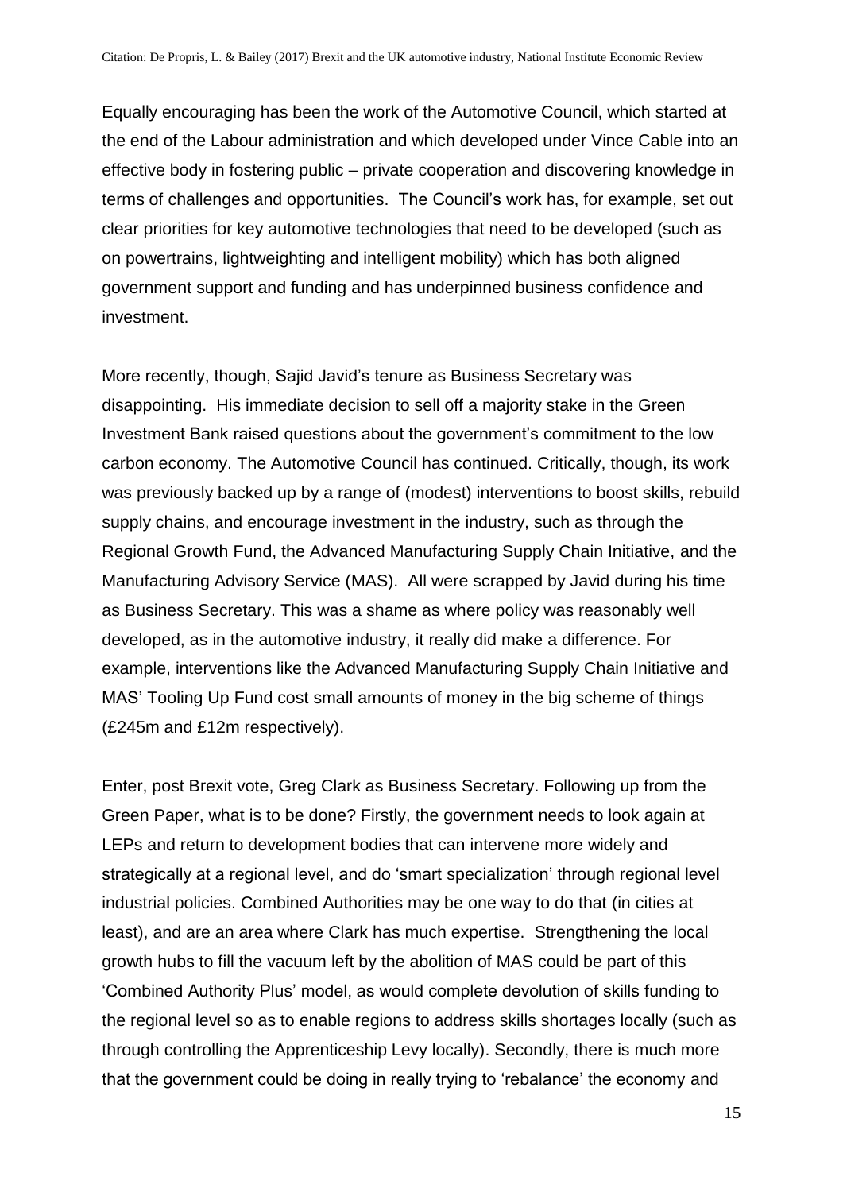Equally encouraging has been the work of the Automotive Council, which started at the end of the Labour administration and which developed under Vince Cable into an effective body in fostering public – private cooperation and discovering knowledge in terms of challenges and opportunities. The Council's work has, for example, set out clear priorities for key automotive technologies that need to be developed (such as on powertrains, lightweighting and intelligent mobility) which has both aligned government support and funding and has underpinned business confidence and investment.

More recently, though, Sajid Javid's tenure as Business Secretary was disappointing. His immediate decision to sell off a majority stake in the Green Investment Bank raised questions about the government's commitment to the low carbon economy. The Automotive Council has continued. Critically, though, its work was previously backed up by a range of (modest) interventions to boost skills, rebuild supply chains, and encourage investment in the industry, such as through the Regional Growth Fund, the Advanced Manufacturing Supply Chain Initiative, and the Manufacturing Advisory Service (MAS). All were scrapped by Javid during his time as Business Secretary. This was a shame as where policy was reasonably well developed, as in the automotive industry, it really did make a difference. For example, interventions like the Advanced Manufacturing Supply Chain Initiative and MAS' Tooling Up Fund cost small amounts of money in the big scheme of things (£245m and £12m respectively).

Enter, post Brexit vote, Greg Clark as Business Secretary. Following up from the Green Paper, what is to be done? Firstly, the government needs to look again at LEPs and return to development bodies that can intervene more widely and strategically at a regional level, and do 'smart specialization' through regional level industrial policies. Combined Authorities may be one way to do that (in cities at least), and are an area where Clark has much expertise. Strengthening the local growth hubs to fill the vacuum left by the abolition of MAS could be part of this 'Combined Authority Plus' model, as would complete devolution of skills funding to the regional level so as to enable regions to address skills shortages locally (such as through controlling the Apprenticeship Levy locally). Secondly, there is much more that the government could be doing in really trying to 'rebalance' the economy and

15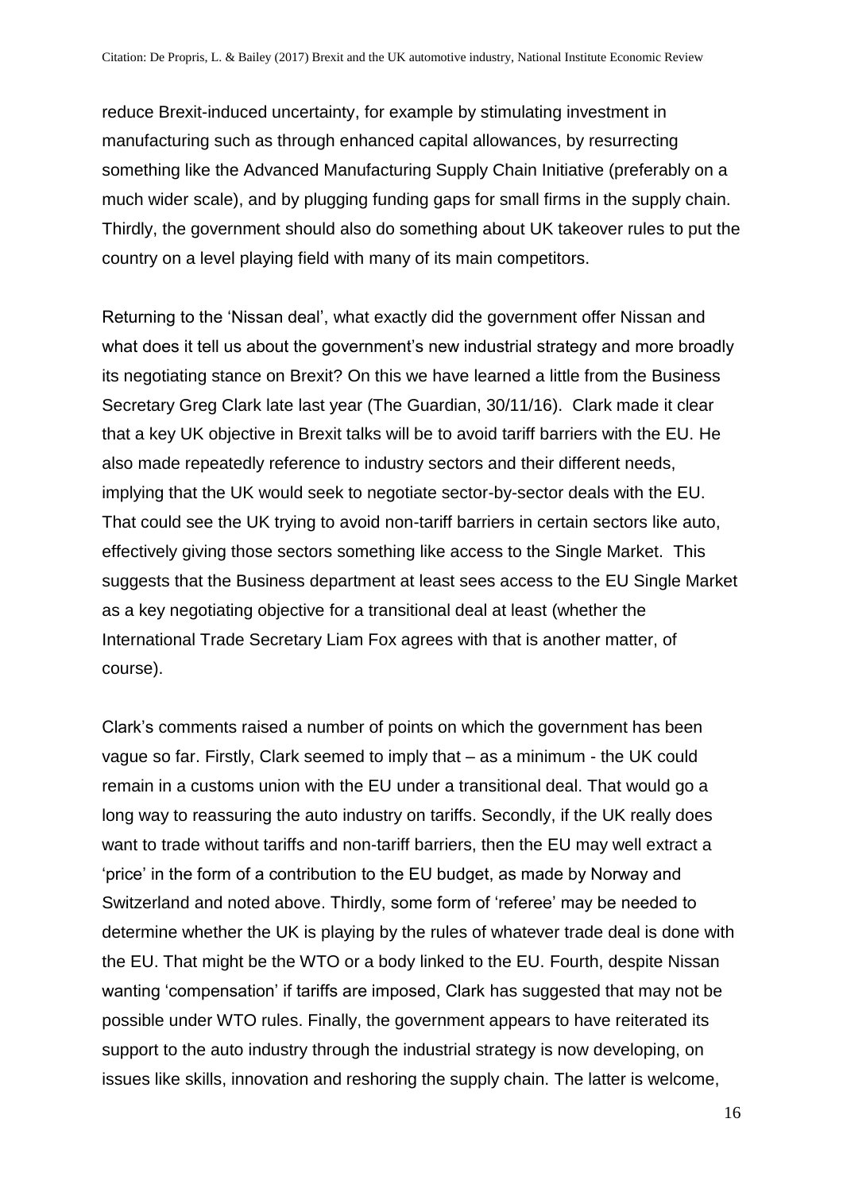reduce Brexit-induced uncertainty, for example by stimulating investment in manufacturing such as through enhanced capital allowances, by resurrecting something like the Advanced Manufacturing Supply Chain Initiative (preferably on a much wider scale), and by plugging funding gaps for small firms in the supply chain. Thirdly, the government should also do something about UK takeover rules to put the country on a level playing field with many of its main competitors.

Returning to the 'Nissan deal', what exactly did the government offer Nissan and what does it tell us about the government's new industrial strategy and more broadly its negotiating stance on Brexit? On this we have learned a little from the Business Secretary Greg Clark late last year (The Guardian, 30/11/16). Clark made it clear that a key UK objective in Brexit talks will be to avoid tariff barriers with the EU. He also made repeatedly reference to industry sectors and their different needs, implying that the UK would seek to negotiate sector-by-sector deals with the EU. That could see the UK trying to avoid non-tariff barriers in certain sectors like auto, effectively giving those sectors something like access to the Single Market. This suggests that the Business department at least sees access to the EU Single Market as a key negotiating objective for a transitional deal at least (whether the International Trade Secretary Liam Fox agrees with that is another matter, of course).

Clark's comments raised a number of points on which the government has been vague so far. Firstly, Clark seemed to imply that – as a minimum - the UK could remain in a customs union with the EU under a transitional deal. That would go a long way to reassuring the auto industry on tariffs. Secondly, if the UK really does want to trade without tariffs and non-tariff barriers, then the EU may well extract a 'price' in the form of a contribution to the EU budget, as made by Norway and Switzerland and noted above. Thirdly, some form of 'referee' may be needed to determine whether the UK is playing by the rules of whatever trade deal is done with the EU. That might be the WTO or a body linked to the EU. Fourth, despite Nissan wanting 'compensation' if tariffs are imposed, Clark has suggested that may not be possible under WTO rules. Finally, the government appears to have reiterated its support to the auto industry through the industrial strategy is now developing, on issues like skills, innovation and reshoring the supply chain. The latter is welcome,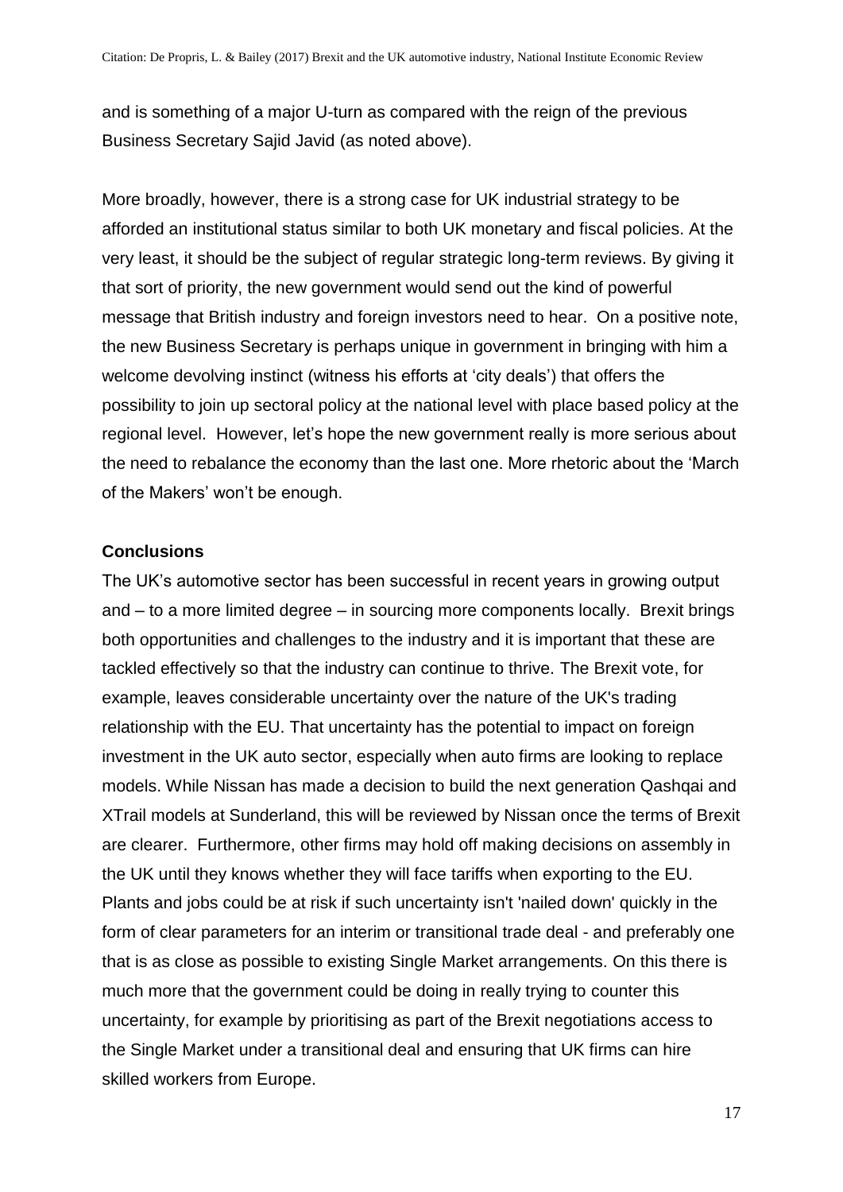and is something of a major U-turn as compared with the reign of the previous Business Secretary Sajid Javid (as noted above).

More broadly, however, there is a strong case for UK industrial strategy to be afforded an institutional status similar to both UK monetary and fiscal policies. At the very least, it should be the subject of regular strategic long-term reviews. By giving it that sort of priority, the new government would send out the kind of powerful message that British industry and foreign investors need to hear. On a positive note, the new Business Secretary is perhaps unique in government in bringing with him a welcome devolving instinct (witness his efforts at 'city deals') that offers the possibility to join up sectoral policy at the national level with place based policy at the regional level. However, let's hope the new government really is more serious about the need to rebalance the economy than the last one. More rhetoric about the 'March of the Makers' won't be enough.

#### **Conclusions**

The UK's automotive sector has been successful in recent years in growing output and – to a more limited degree – in sourcing more components locally. Brexit brings both opportunities and challenges to the industry and it is important that these are tackled effectively so that the industry can continue to thrive. The Brexit vote, for example, leaves considerable uncertainty over the nature of the UK's trading relationship with the EU. That uncertainty has the potential to impact on foreign investment in the UK auto sector, especially when auto firms are looking to replace models. While Nissan has made a decision to build the next generation Qashqai and XTrail models at Sunderland, this will be reviewed by Nissan once the terms of Brexit are clearer. Furthermore, other firms may hold off making decisions on assembly in the UK until they knows whether they will face tariffs when exporting to the EU. Plants and jobs could be at risk if such uncertainty isn't 'nailed down' quickly in the form of clear parameters for an interim or transitional trade deal - and preferably one that is as close as possible to existing Single Market arrangements. On this there is much more that the government could be doing in really trying to counter this uncertainty, for example by prioritising as part of the Brexit negotiations access to the Single Market under a transitional deal and ensuring that UK firms can hire skilled workers from Europe.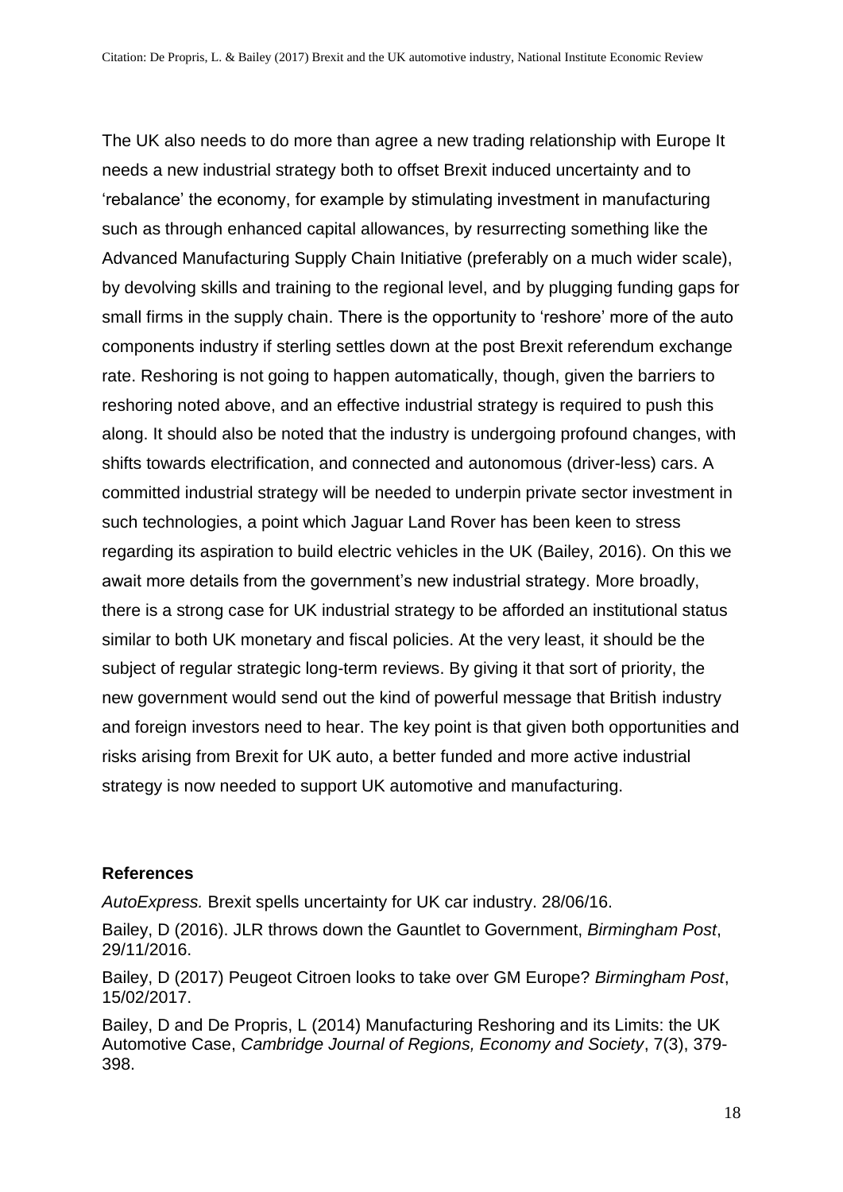The UK also needs to do more than agree a new trading relationship with Europe It needs a new industrial strategy both to offset Brexit induced uncertainty and to 'rebalance' the economy, for example by stimulating investment in manufacturing such as through enhanced capital allowances, by resurrecting something like the Advanced Manufacturing Supply Chain Initiative (preferably on a much wider scale), by devolving skills and training to the regional level, and by plugging funding gaps for small firms in the supply chain. There is the opportunity to 'reshore' more of the auto components industry if sterling settles down at the post Brexit referendum exchange rate. Reshoring is not going to happen automatically, though, given the barriers to reshoring noted above, and an effective industrial strategy is required to push this along. It should also be noted that the industry is undergoing profound changes, with shifts towards electrification, and connected and autonomous (driver-less) cars. A committed industrial strategy will be needed to underpin private sector investment in such technologies, a point which Jaguar Land Rover has been keen to stress regarding its aspiration to build electric vehicles in the UK (Bailey, 2016). On this we await more details from the government's new industrial strategy. More broadly, there is a strong case for UK industrial strategy to be afforded an institutional status similar to both UK monetary and fiscal policies. At the very least, it should be the subject of regular strategic long-term reviews. By giving it that sort of priority, the new government would send out the kind of powerful message that British industry and foreign investors need to hear. The key point is that given both opportunities and risks arising from Brexit for UK auto, a better funded and more active industrial strategy is now needed to support UK automotive and manufacturing.

#### **References**

*AutoExpress.* Brexit spells uncertainty for UK car industry. 28/06/16.

Bailey, D (2016). JLR throws down the Gauntlet to Government, *Birmingham Post*, 29/11/2016.

Bailey, D (2017) Peugeot Citroen looks to take over GM Europe? *Birmingham Post*, 15/02/2017.

Bailey, D and De Propris, L (2014) Manufacturing Reshoring and its Limits: the UK Automotive Case, *Cambridge Journal of Regions, Economy and Society*, 7(3), 379- 398.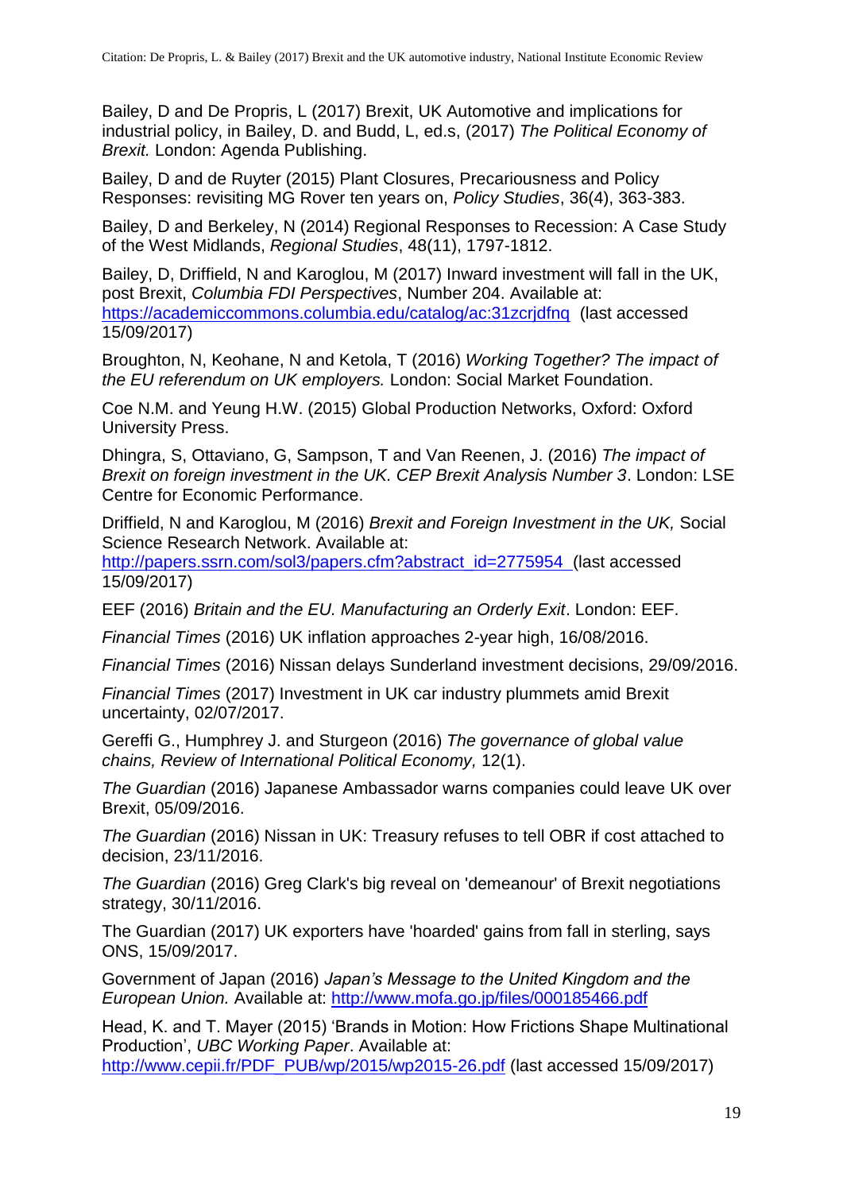Bailey, D and De Propris, L (2017) Brexit, UK Automotive and implications for industrial policy, in Bailey, D. and Budd, L, ed.s, (2017) *The Political Economy of Brexit.* London: Agenda Publishing.

Bailey, D and de Ruyter (2015) Plant Closures, Precariousness and Policy Responses: revisiting MG Rover ten years on, *Policy Studies*, 36(4), 363-383.

Bailey, D and Berkeley, N (2014) Regional Responses to Recession: A Case Study of the West Midlands, *Regional Studies*, 48(11), 1797-1812.

Bailey, D, Driffield, N and Karoglou, M (2017) Inward investment will fall in the UK, post Brexit, *Columbia FDI Perspectives*, Number 204. Available at: https://academiccommons.columbia.edu/catalog/ac:31zcridfng (last accessed 15/09/2017)

Broughton, N, Keohane, N and Ketola, T (2016) *Working Together? The impact of the EU referendum on UK employers.* London: Social Market Foundation.

Coe N.M. and Yeung H.W. (2015) Global Production Networks, Oxford: Oxford University Press.

Dhingra, S, Ottaviano, G, Sampson, T and Van Reenen, J. (2016) *The impact of Brexit on foreign investment in the UK. CEP Brexit Analysis Number 3*. London: LSE Centre for Economic Performance.

Driffield, N and Karoglou, M (2016) *Brexit and Foreign Investment in the UK,* Social Science Research Network. Available at:

[http://papers.ssrn.com/sol3/papers.cfm?abstract\\_id=2775954](http://papers.ssrn.com/sol3/papers.cfm?abstract_id=2775954) (last accessed 15/09/2017)

EEF (2016) *Britain and the EU. Manufacturing an Orderly Exit*. London: EEF.

*Financial Times* (2016) UK inflation approaches 2-year high, 16/08/2016.

*Financial Times* (2016) Nissan delays Sunderland investment decisions, 29/09/2016.

*Financial Times* (2017) Investment in UK car industry plummets amid Brexit uncertainty, 02/07/2017.

Gereffi G., Humphrey J. and Sturgeon (2016) *The governance of global value chains, Review of International Political Economy,* 12(1).

*The Guardian* (2016) Japanese Ambassador warns companies could leave UK over Brexit, 05/09/2016.

*The Guardian* (2016) Nissan in UK: Treasury refuses to tell OBR if cost attached to decision, 23/11/2016.

*The Guardian* (2016) Greg Clark's big reveal on 'demeanour' of Brexit negotiations strategy, 30/11/2016.

The Guardian (2017) UK exporters have 'hoarded' gains from fall in sterling, says ONS, 15/09/2017.

Government of Japan (2016) *Japan's Message to the United Kingdom and the European Union.* Available at:<http://www.mofa.go.jp/files/000185466.pdf>

Head, K. and T. Mayer (2015) 'Brands in Motion: How Frictions Shape Multinational Production', *UBC Working Paper*. Available at:

[http://www.cepii.fr/PDF\\_PUB/wp/2015/wp2015-26.pdf](http://www.cepii.fr/PDF_PUB/wp/2015/wp2015-26.pdf) (last accessed 15/09/2017)